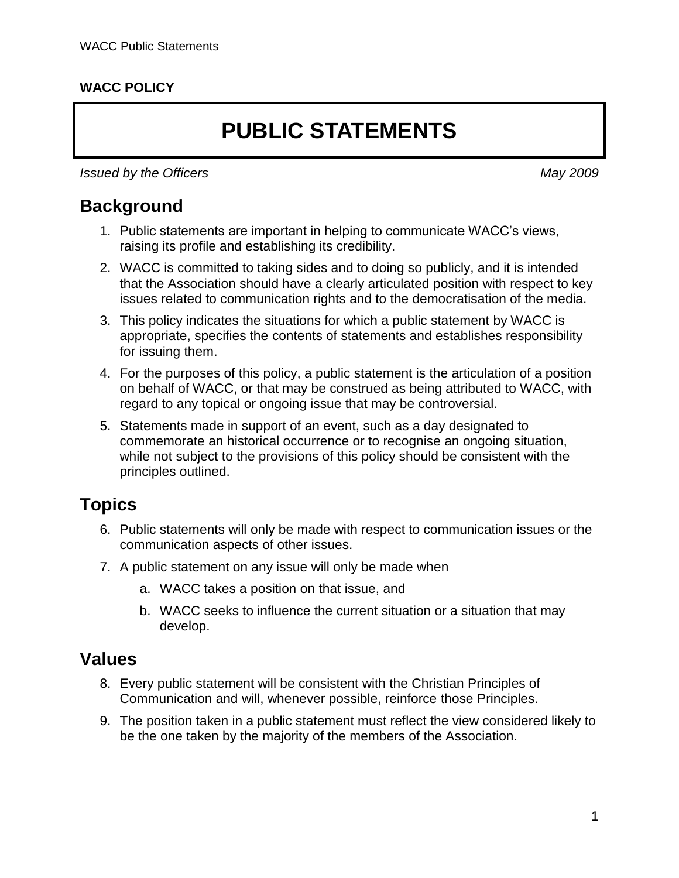#### **WACC POLICY**

# **PUBLIC STATEMENTS**

*Issued by the Officers May 2009*

#### **Background**

- 1. Public statements are important in helping to communicate WACC's views, raising its profile and establishing its credibility.
- 2. WACC is committed to taking sides and to doing so publicly, and it is intended that the Association should have a clearly articulated position with respect to key issues related to communication rights and to the democratisation of the media.
- 3. This policy indicates the situations for which a public statement by WACC is appropriate, specifies the contents of statements and establishes responsibility for issuing them.
- 4. For the purposes of this policy, a public statement is the articulation of a position on behalf of WACC, or that may be construed as being attributed to WACC, with regard to any topical or ongoing issue that may be controversial.
- 5. Statements made in support of an event, such as a day designated to commemorate an historical occurrence or to recognise an ongoing situation, while not subject to the provisions of this policy should be consistent with the principles outlined.

#### **Topics**

- 6. Public statements will only be made with respect to communication issues or the communication aspects of other issues.
- 7. A public statement on any issue will only be made when
	- a. WACC takes a position on that issue, and
	- b. WACC seeks to influence the current situation or a situation that may develop.

#### **Values**

- 8. Every public statement will be consistent with the Christian Principles of Communication and will, whenever possible, reinforce those Principles.
- 9. The position taken in a public statement must reflect the view considered likely to be the one taken by the majority of the members of the Association.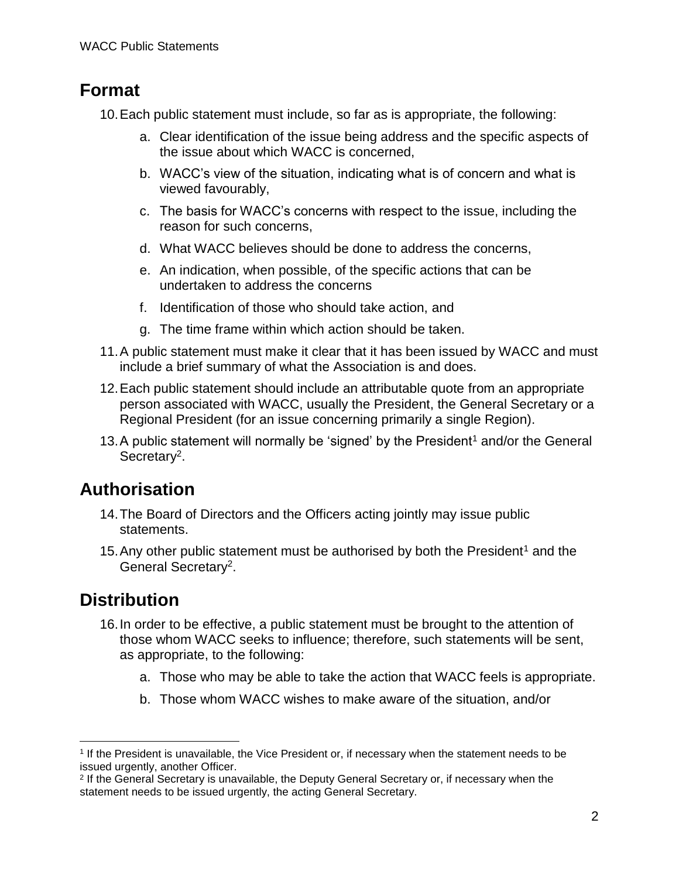### **Format**

10.Each public statement must include, so far as is appropriate, the following:

- a. Clear identification of the issue being address and the specific aspects of the issue about which WACC is concerned,
- b. WACC's view of the situation, indicating what is of concern and what is viewed favourably,
- c. The basis for WACC's concerns with respect to the issue, including the reason for such concerns,
- d. What WACC believes should be done to address the concerns,
- e. An indication, when possible, of the specific actions that can be undertaken to address the concerns
- f. Identification of those who should take action, and
- <span id="page-1-0"></span>g. The time frame within which action should be taken.
- 11.A public statement must make it clear that it has been issued by WACC and must include a brief summary of what the Association is and does.
- 12.Each public statement should include an attributable quote from an appropriate person associated with WACC, usually the President, the General Secretary or a Regional President (for an issue concerning primarily a single Region).
- <span id="page-1-1"></span>13. A public statement will normally be 'signed' by the President<sup>1</sup> and/or the General Secretary<sup>2</sup>.

## **Authorisation**

- 14.The Board of Directors and the Officers acting jointly may issue public statements.
- [1](#page-1-0)5. Any other public statement must be authorised by both the President<sup>1</sup> and the General Secretary<sup>[2](#page-1-1)</sup>.

## **Distribution**

 $\overline{a}$ 

- 16.In order to be effective, a public statement must be brought to the attention of those whom WACC seeks to influence; therefore, such statements will be sent, as appropriate, to the following:
	- a. Those who may be able to take the action that WACC feels is appropriate.
	- b. Those whom WACC wishes to make aware of the situation, and/or

<sup>1</sup> If the President is unavailable, the Vice President or, if necessary when the statement needs to be issued urgently, another Officer.

<sup>&</sup>lt;sup>2</sup> If the General Secretary is unavailable, the Deputy General Secretary or, if necessary when the statement needs to be issued urgently, the acting General Secretary.